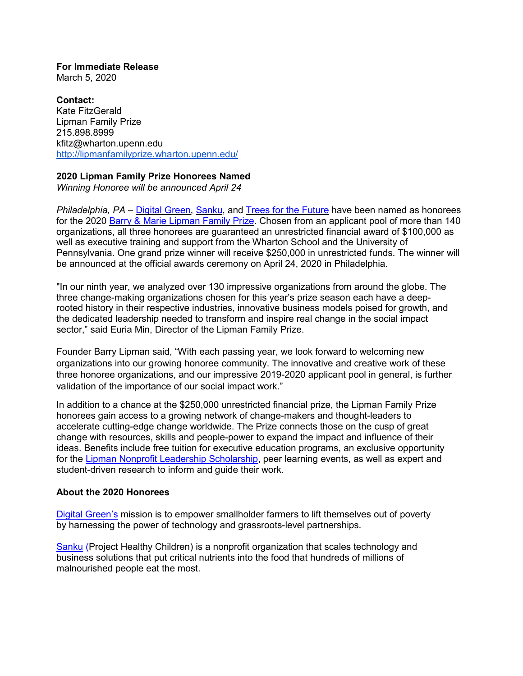**For Immediate Release** March 5, 2020

**Contact:** Kate FitzGerald Lipman Family Prize 215.898.8999 [kfitz@wharton.upenn.edu](mailto:kfitz@wharton.upenn.edu) <http://lipmanfamilyprize.wharton.upenn.edu/>

## **2020 Lipman Family Prize Honorees Named**

*Winning Honoree will be announced April 24*

*Philadelphia, PA – [Digital Green,](https://www.digitalgreen.org/) [Sanku,](http://projecthealthychildren.com/) and [Trees for the Future](https://trees.org/) have been named as honorees* for the 2020 [Barry & Marie Lipman Family Prize.](https://lipmanfamilyprize.wharton.upenn.edu/) Chosen from an applicant pool of more than 140 organizations, all three honorees are guaranteed an unrestricted financial award of \$100,000 as well as executive training and support from the Wharton School and the University of Pennsylvania. One grand prize winner will receive \$250,000 in unrestricted funds. The winner will be announced at the official awards ceremony on April 24, 2020 in Philadelphia.

"In our ninth year, we analyzed over 130 impressive organizations from around the globe. The three change-making organizations chosen for this year's prize season each have a deeprooted history in their respective industries, innovative business models poised for growth, and the dedicated leadership needed to transform and inspire real change in the social impact sector," said Euria Min, Director of the Lipman Family Prize.

Founder Barry Lipman said, "With each passing year, we look forward to welcoming new organizations into our growing honoree community. The innovative and creative work of these three honoree organizations, and our impressive 2019-2020 applicant pool in general, is further validation of the importance of our social impact work."

In addition to a chance at the \$250,000 unrestricted financial prize, the Lipman Family Prize honorees gain access to a growing network of change-makers and thought-leaders to accelerate cutting-edge change worldwide. The Prize connects those on the cusp of great change with resources, skills and people-power to expand the impact and influence of their ideas. Benefits include free tuition for executive education programs, an exclusive opportunity for the [Lipman Nonprofit Leadership Scholarship,](https://lipmanfamilyprize.wharton.upenn.edu/new-nonprofit-leadership-scholarship/) peer learning events, as well as expert and student-driven research to inform and guide their work.

## **About the 2020 Honorees**

[Digital Green's](https://www.digitalgreen.org/) mission is to empower smallholder farmers to lift themselves out of poverty by harnessing the power of technology and grassroots-level partnerships.

[Sanku](http://projecthealthychildren.com/) (Project Healthy Children) is a nonprofit organization that scales technology and business solutions that put critical nutrients into the food that hundreds of millions of malnourished people eat the most.